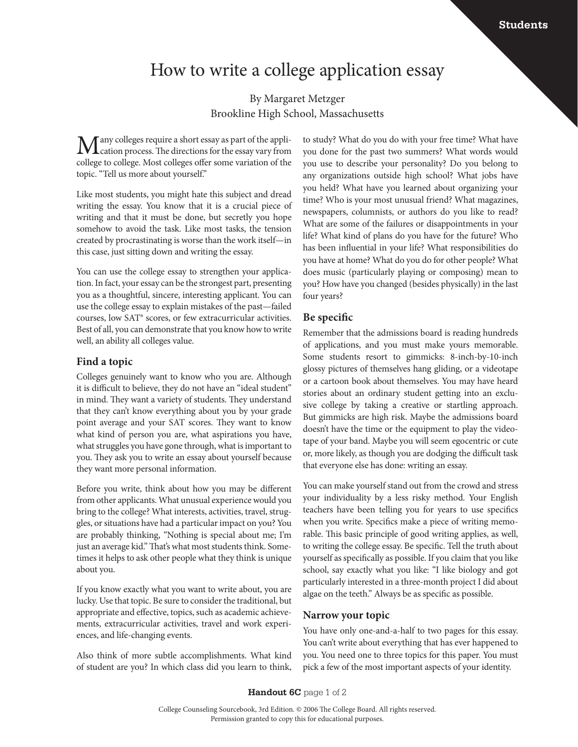# How to write a college application essay

By Margaret Metzger Brookline High School, Massachusetts

 $\sum_{\text{equation process.}}$  The directions for the essay vary from college to college. Most colleges offer some variation of the topic. "Tell us more about yourself."

Like most students, you might hate this subject and dread writing the essay. You know that it is a crucial piece of writing and that it must be done, but secretly you hope somehow to avoid the task. Like most tasks, the tension created by procrastinating is worse than the work itself—in this case, just sitting down and writing the essay.

You can use the college essay to strengthen your application. In fact, your essay can be the strongest part, presenting you as a thoughtful, sincere, interesting applicant. You can use the college essay to explain mistakes of the past—failed courses, low SAT® scores, or few extracurricular activities. Best of all, you can demonstrate that you know how to write well, an ability all colleges value.

#### **Find a topic**

Colleges genuinely want to know who you are. Although it is difficult to believe, they do not have an "ideal student" in mind. They want a variety of students. They understand that they can't know everything about you by your grade point average and your SAT scores. They want to know what kind of person you are, what aspirations you have, what struggles you have gone through, what is important to you. They ask you to write an essay about yourself because they want more personal information.

Before you write, think about how you may be different from other applicants. What unusual experience would you bring to the college? What interests, activities, travel, struggles, or situations have had a particular impact on you? You are probably thinking, "Nothing is special about me; I'm just an average kid." That's what most students think. Sometimes it helps to ask other people what they think is unique about you.

If you know exactly what you want to write about, you are lucky. Use that topic. Be sure to consider the traditional, but appropriate and effective, topics, such as academic achievements, extracurricular activities, travel and work experiences, and life-changing events.

Also think of more subtle accomplishments. What kind of student are you? In which class did you learn to think,

to study? What do you do with your free time? What have you done for the past two summers? What words would you use to describe your personality? Do you belong to any organizations outside high school? What jobs have you held? What have you learned about organizing your time? Who is your most unusual friend? What magazines, newspapers, columnists, or authors do you like to read? What are some of the failures or disappointments in your life? What kind of plans do you have for the future? Who has been influential in your life? What responsibilities do you have at home? What do you do for other people? What does music (particularly playing or composing) mean to you? How have you changed (besides physically) in the last four years?

#### **Be specific**

Remember that the admissions board is reading hundreds of applications, and you must make yours memorable. Some students resort to gimmicks: 8-inch-by-10-inch glossy pictures of themselves hang gliding, or a videotape or a cartoon book about themselves. You may have heard stories about an ordinary student getting into an exclusive college by taking a creative or startling approach. But gimmicks are high risk. Maybe the admissions board doesn't have the time or the equipment to play the videotape of your band. Maybe you will seem egocentric or cute or, more likely, as though you are dodging the difficult task that everyone else has done: writing an essay.

You can make yourself stand out from the crowd and stress your individuality by a less risky method. Your English teachers have been telling you for years to use specifics when you write. Specifics make a piece of writing memorable. This basic principle of good writing applies, as well, to writing the college essay. Be specific. Tell the truth about yourself as specifically as possible. If you claim that you like school, say exactly what you like: "I like biology and got particularly interested in a three-month project I did about algae on the teeth." Always be as specific as possible.

#### **Narrow your topic**

You have only one-and-a-half to two pages for this essay. You can't write about everything that has ever happened to you. You need one to three topics for this paper. You must pick a few of the most important aspects of your identity.